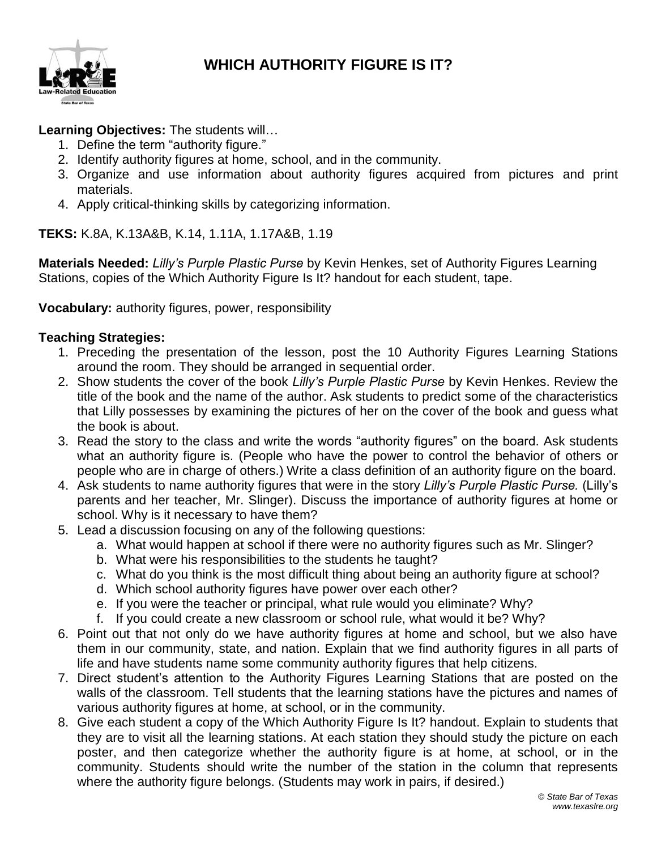

#### **WHICH AUTHORITY FIGURE IS IT?**

#### **Learning Objectives:** The students will…

- 1. Define the term "authority figure."
- 2. Identify authority figures at home, school, and in the community.
- 3. Organize and use information about authority figures acquired from pictures and print materials.
- 4. Apply critical-thinking skills by categorizing information.

**TEKS:** K.8A, K.13A&B, K.14, 1.11A, 1.17A&B, 1.19

**Materials Needed:** *Lilly's Purple Plastic Purse* by Kevin Henkes, set of Authority Figures Learning Stations, copies of the Which Authority Figure Is It? handout for each student, tape.

**Vocabulary:** authority figures, power, responsibility

#### **Teaching Strategies:**

- 1. Preceding the presentation of the lesson, post the 10 Authority Figures Learning Stations around the room. They should be arranged in sequential order.
- 2. Show students the cover of the book *Lilly's Purple Plastic Purse* by Kevin Henkes. Review the title of the book and the name of the author. Ask students to predict some of the characteristics that Lilly possesses by examining the pictures of her on the cover of the book and guess what the book is about.
- 3. Read the story to the class and write the words "authority figures" on the board. Ask students what an authority figure is. (People who have the power to control the behavior of others or people who are in charge of others.) Write a class definition of an authority figure on the board.
- 4. Ask students to name authority figures that were in the story *Lilly's Purple Plastic Purse.* (Lilly's parents and her teacher, Mr. Slinger). Discuss the importance of authority figures at home or school. Why is it necessary to have them?
- 5. Lead a discussion focusing on any of the following questions:
	- a. What would happen at school if there were no authority figures such as Mr. Slinger?
	- b. What were his responsibilities to the students he taught?
	- c. What do you think is the most difficult thing about being an authority figure at school?
	- d. Which school authority figures have power over each other?
	- e. If you were the teacher or principal, what rule would you eliminate? Why?
	- f. If you could create a new classroom or school rule, what would it be? Why?
- 6. Point out that not only do we have authority figures at home and school, but we also have them in our community, state, and nation. Explain that we find authority figures in all parts of life and have students name some community authority figures that help citizens.
- 7. Direct student's attention to the Authority Figures Learning Stations that are posted on the walls of the classroom. Tell students that the learning stations have the pictures and names of various authority figures at home, at school, or in the community.
- 8. Give each student a copy of the Which Authority Figure Is It? handout. Explain to students that they are to visit all the learning stations. At each station they should study the picture on each poster, and then categorize whether the authority figure is at home, at school, or in the community. Students should write the number of the station in the column that represents where the authority figure belongs. (Students may work in pairs, if desired.)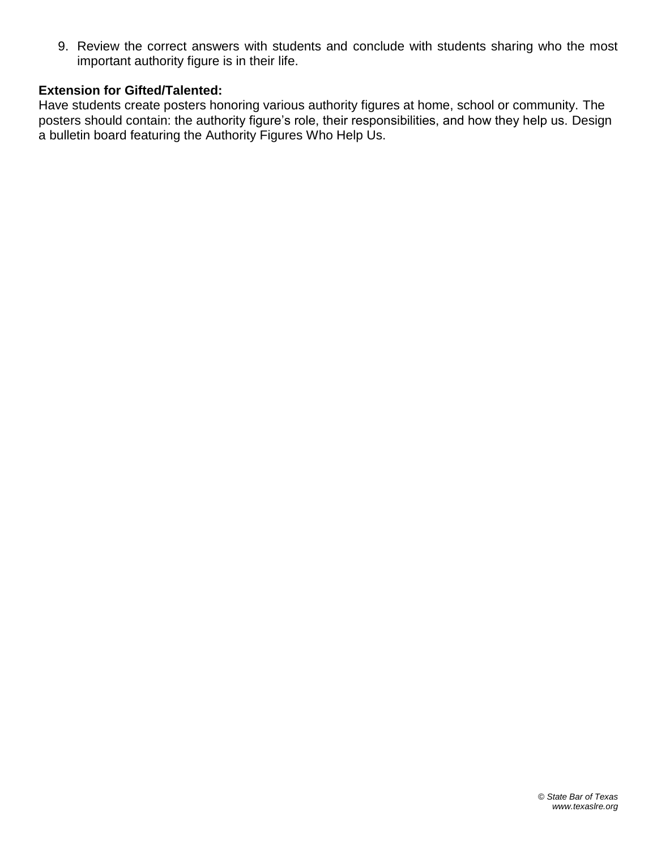9. Review the correct answers with students and conclude with students sharing who the most important authority figure is in their life.

#### **Extension for Gifted/Talented:**

Have students create posters honoring various authority figures at home, school or community. The posters should contain: the authority figure's role, their responsibilities, and how they help us. Design a bulletin board featuring the Authority Figures Who Help Us.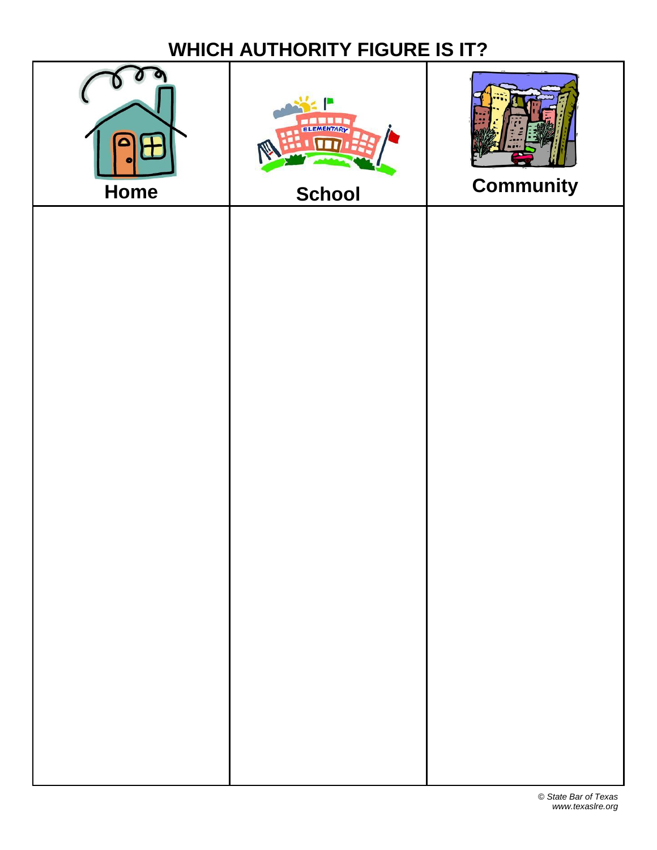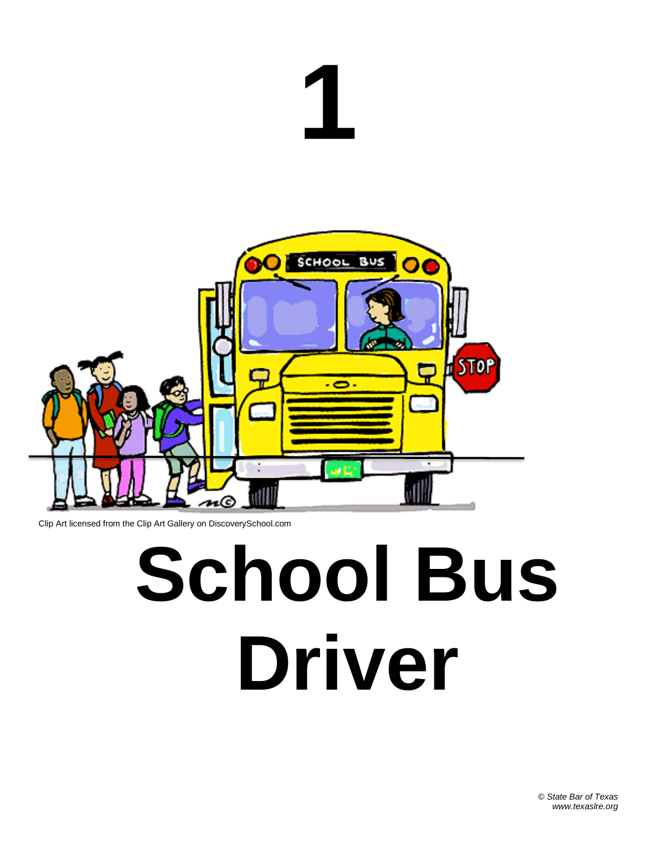# **1**



Clip Art licensed from the Clip Art Gallery on DiscoverySchool.com

### **School Bus Driver**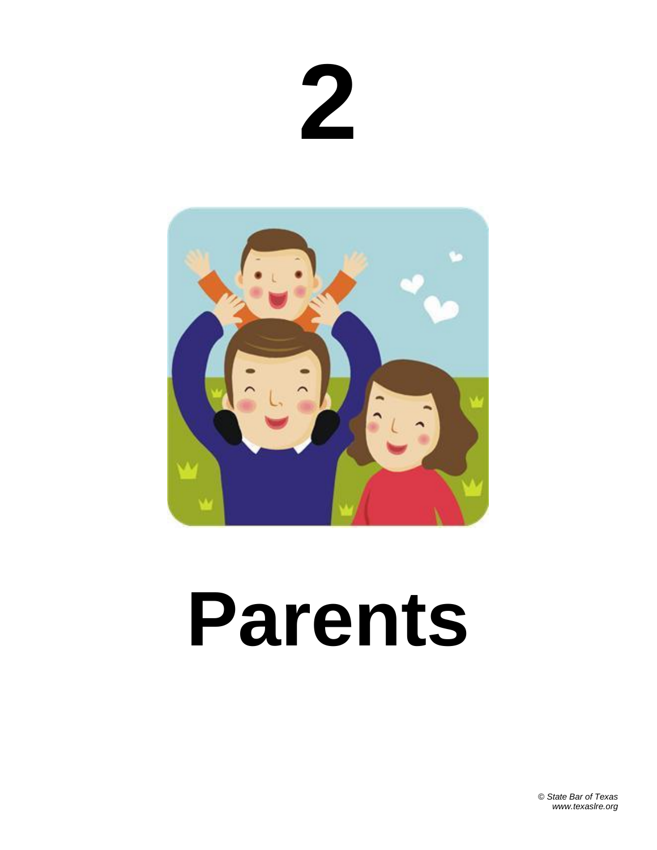**2**



#### **Parents**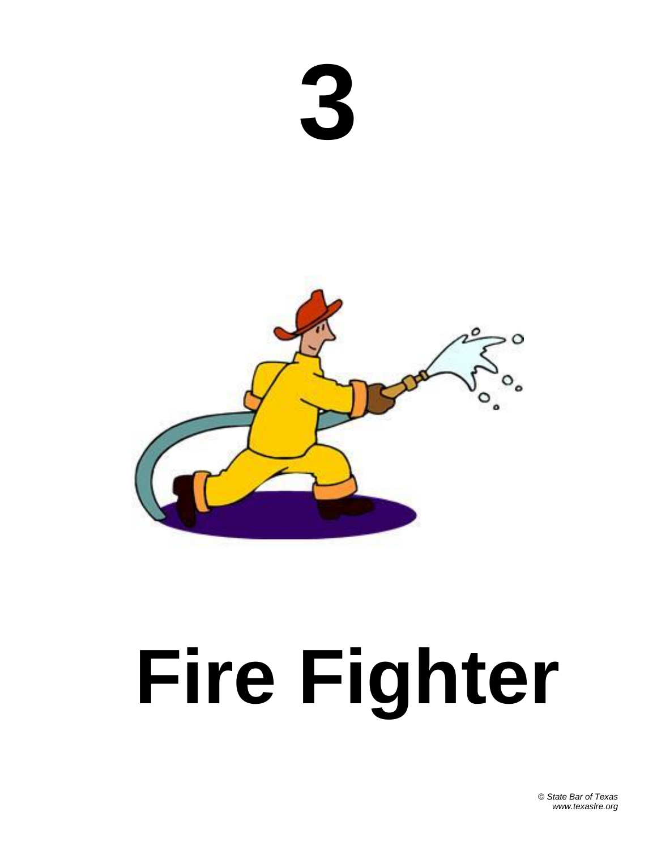



### **Fire Fighter**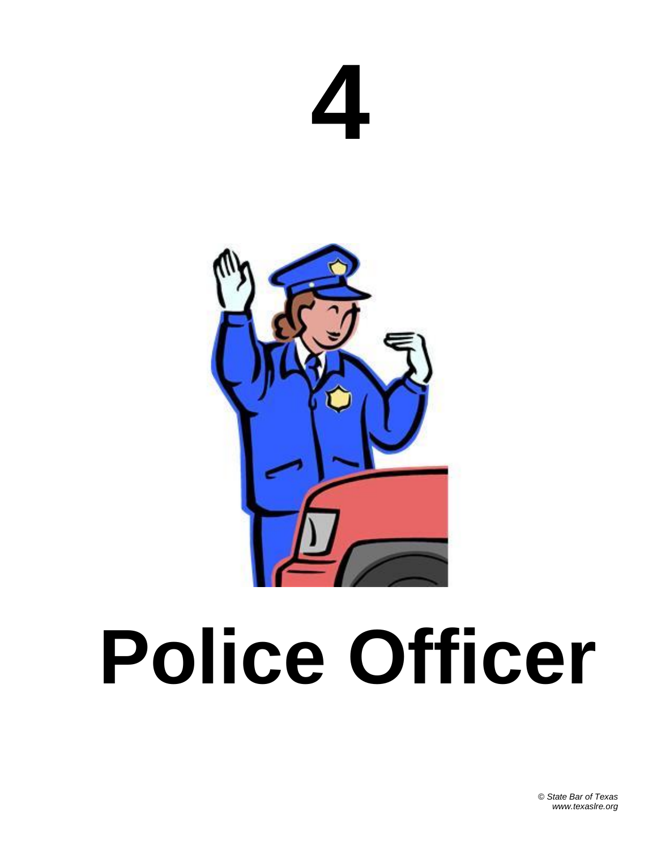



### **Police Officer**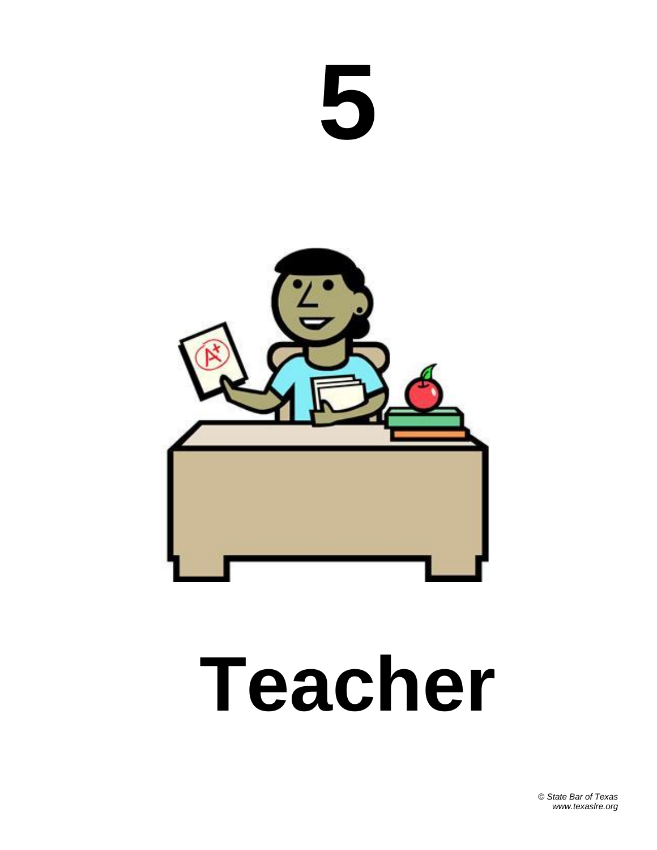



#### **Teacher**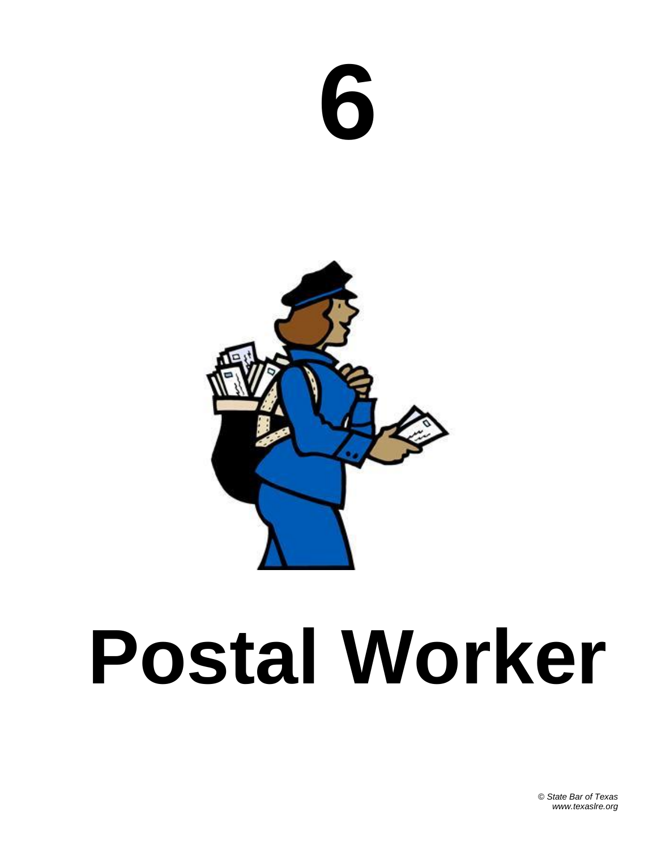



#### **Postal Worker**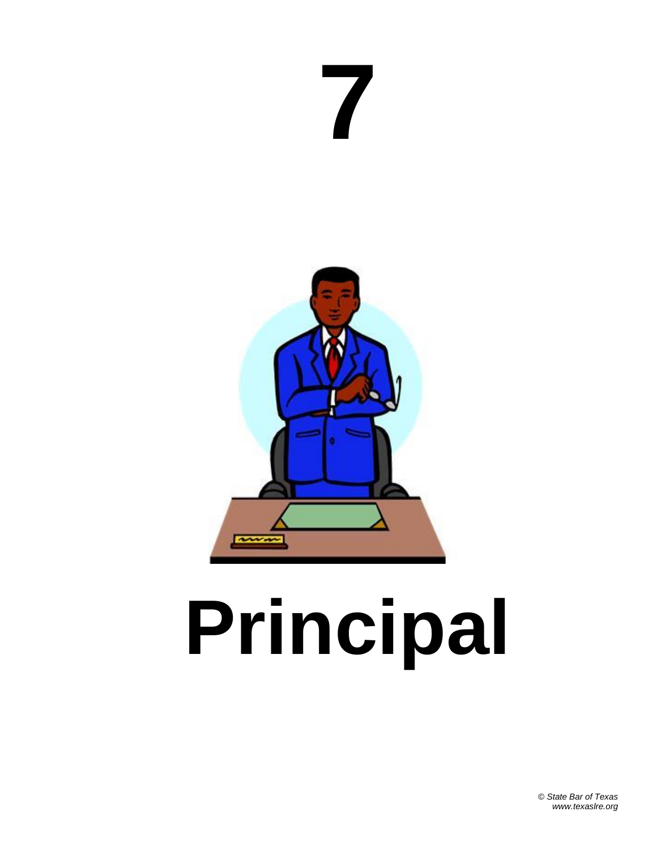

## **Principal**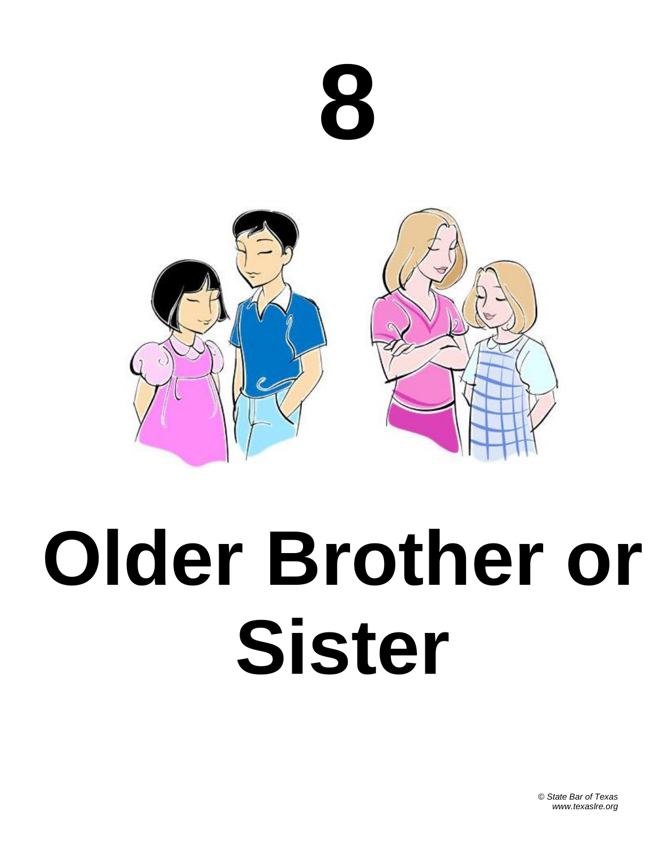



### **Older Brother or Sister**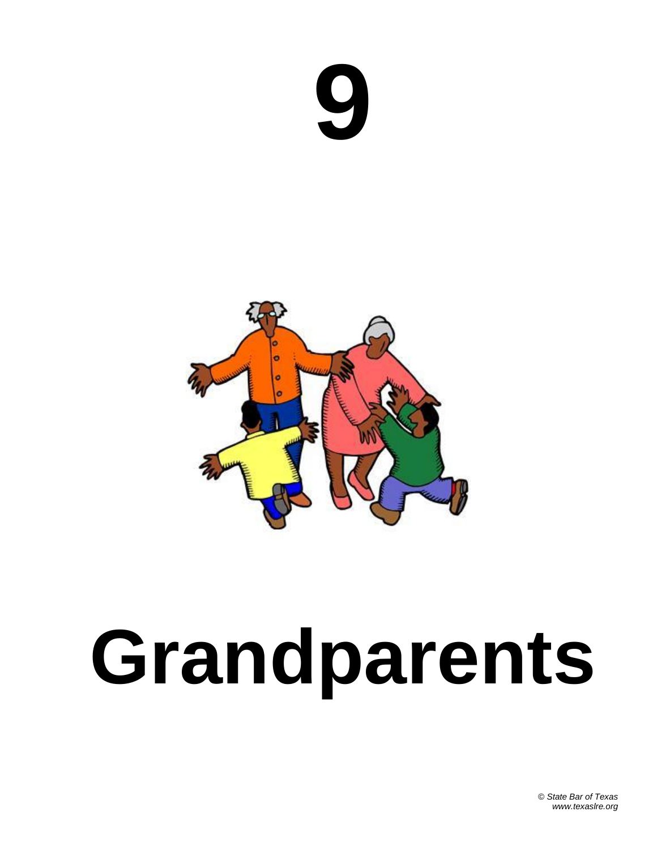![](_page_11_Picture_0.jpeg)

![](_page_11_Picture_1.jpeg)

### **Grandparents**